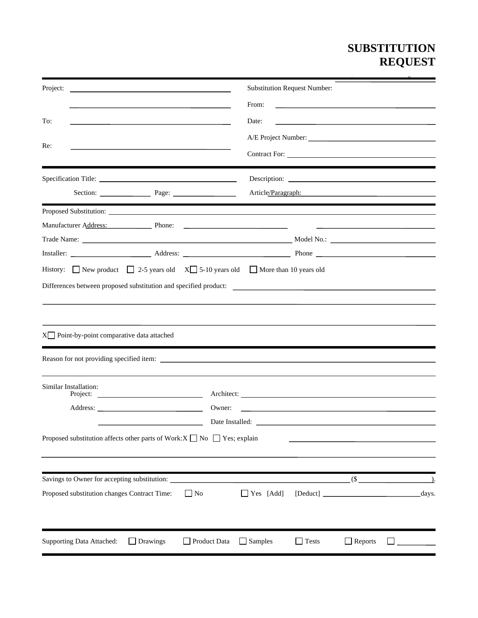## **SUBSTITUTION REQUEST**

**(After the Bidding Phase)**

| Project:                                                                                                                                                                                                                             | <b>Substitution Request Number:</b>                                       |  |  |  |
|--------------------------------------------------------------------------------------------------------------------------------------------------------------------------------------------------------------------------------------|---------------------------------------------------------------------------|--|--|--|
|                                                                                                                                                                                                                                      | From:                                                                     |  |  |  |
| To:                                                                                                                                                                                                                                  | Date:                                                                     |  |  |  |
| Re:<br>the control of the control of the control of the control of the control of the control of the control of the control of the control of the control of the control of the control of the control of the control of the control |                                                                           |  |  |  |
|                                                                                                                                                                                                                                      |                                                                           |  |  |  |
|                                                                                                                                                                                                                                      | Description:                                                              |  |  |  |
| Section: Page: 2000 Page: 2000 Page: 2000 Page: 2000 Page: 2000 Page: 2000 Page: 2000 Page: 2000 Page: 2000 Page: 2000 Page: 2000 Page: 2000 Page: 2000 Page: 2000 Page: 2000 Page: 2000 Page: 2000 Page: 2000 Page: 2000 Page       | Article/Paragraph:<br><u> 1989 - Johann Barbara, martxa alemaniar arg</u> |  |  |  |
|                                                                                                                                                                                                                                      |                                                                           |  |  |  |
| Manufacturer Address: Phone: 2008. Phone: 2008. Phone: 2008. Phone: 2008. 2018. 2019. 2019. 2019. 2019. 2019. 2019. 2019. 2019. 2019. 2019. 2019. 2019. 2019. 2019. 2019. 2019. 2019. 2019. 2019. 2019. 2019. 2019. 2019. 2019       | <u> The Communication of the Communication</u>                            |  |  |  |
|                                                                                                                                                                                                                                      |                                                                           |  |  |  |
|                                                                                                                                                                                                                                      |                                                                           |  |  |  |
| History: New product $\Box$ 2-5 years old $X\Box$ 5-10 years old $\Box$ More than 10 years old                                                                                                                                       |                                                                           |  |  |  |
|                                                                                                                                                                                                                                      |                                                                           |  |  |  |
|                                                                                                                                                                                                                                      |                                                                           |  |  |  |
|                                                                                                                                                                                                                                      |                                                                           |  |  |  |
|                                                                                                                                                                                                                                      |                                                                           |  |  |  |
| X□ Point-by-point comparative data attached                                                                                                                                                                                          |                                                                           |  |  |  |
|                                                                                                                                                                                                                                      |                                                                           |  |  |  |
| Similar Installation:                                                                                                                                                                                                                |                                                                           |  |  |  |
|                                                                                                                                                                                                                                      |                                                                           |  |  |  |
|                                                                                                                                                                                                                                      | Owner:<br><u> 1989 - Johann Stein, Amerikaansk politiker (</u> † 1920)    |  |  |  |
|                                                                                                                                                                                                                                      |                                                                           |  |  |  |
| Proposed substitution affects other parts of Work: $X \square$ No $\square$ Yes; explain                                                                                                                                             |                                                                           |  |  |  |
|                                                                                                                                                                                                                                      |                                                                           |  |  |  |
|                                                                                                                                                                                                                                      |                                                                           |  |  |  |
|                                                                                                                                                                                                                                      |                                                                           |  |  |  |
| Proposed substitution changes Contract Time:<br>$\Box$ No                                                                                                                                                                            | $\Box$ Yes [Add]<br>days.                                                 |  |  |  |
|                                                                                                                                                                                                                                      |                                                                           |  |  |  |
| <b>Supporting Data Attached:</b><br>Drawings                                                                                                                                                                                         | Product Data<br>$\Box$ Samples<br>$\Box$ Tests<br>$\Box$ Reports          |  |  |  |
|                                                                                                                                                                                                                                      |                                                                           |  |  |  |